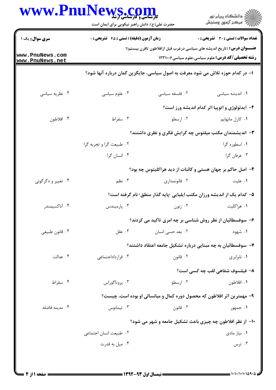| WWW.PnuNews.com                    | حضرت علی(ع): دانش راهبر نیکویی برای ایمان است                                  |                                                                         | ڪ دانشڪاه پيا <sub>م</sub> نور<br>∕ِ <i>کمڪز</i> آزمون وسنڊش |  |
|------------------------------------|--------------------------------------------------------------------------------|-------------------------------------------------------------------------|--------------------------------------------------------------|--|
| <b>سری سوال :</b> یک ۱             | <b>زمان آزمون (دقیقه) : تستی : 45 تشریحی : 0</b>                               |                                                                         | <b>تعداد سوالات : تستی : 30 ٪ تشریحی : 0</b>                 |  |
| www.PnuNews.com<br>www.PnuNews.net | <b>عنـــوان درس:</b> (تاریخ اندیشه های سیاسی درغرب قبل ازافلاطون تاقرن بیستم(۱ |                                                                         | <b>رشته تحصیلی/کد درس:</b> علوم سیاسی،علوم سیاسی1۲۳۱۰۰۶      |  |
|                                    | ا– در کدام حوزه تلاش می شود معرفت به اصول سیاسی، جایگزین گمان درباره آنها شود؟ |                                                                         |                                                              |  |
| ۰۴ نظریه سیاسی                     | ۰۳ علوم سیاسی                                                                  | ٠٢ فلسفه سياسى                                                          | ٠١. انديشه سياسى                                             |  |
|                                    |                                                                                |                                                                         | ۲- ایدئولوژی و اتوپیا اثر کدام اندیشه ورز است؟               |  |
| ۰۴ افلاطون                         | ۰۳ سقراط                                                                       | ۰۲ ارسطو                                                                | ۰۱ کارل مانهایم                                              |  |
|                                    | ۳- اندیشمندان مکتب میلتوس چه گرایش فکری و نظری داشتند؟                         |                                                                         |                                                              |  |
|                                    | ٠٢ طبيعت گرا و تجربه گرا                                                       |                                                                         | ۰۱ اسطوره گرا                                                |  |
|                                    | ۰۴ انسان گرا                                                                   |                                                                         | ۰۳ عرفان گرا                                                 |  |
|                                    |                                                                                | ۴- اصل حاکم بر جهان هستی و کائنات از دید هراکلیتوس چه بود؟              |                                                              |  |
| ۰۴ تغییر و دگرگونی                 | ۰۳ نظم                                                                         | ۰۲ قانونمداری                                                           | ۰۱ علیت                                                      |  |
|                                    |                                                                                | ۵– کدام یک از اندیشه ورزان مکتب ایلیایی <پایه گذار منطق> نام گرفته است؟ |                                                              |  |
| ۰۴ آناكسيمندر                      | ۰۳ پارمیندس                                                                    | ۰۲ زنون                                                                 | ۰۱ هراکلیت                                                   |  |
|                                    |                                                                                | ۶- سوفسطائیان از نظر روش شناسی بر چه امری تاکید می کردند؟               |                                                              |  |
| ۰۴ قانون طبيعي                     | ۰۳ عقل $\cdot$                                                                 | ۰۲ بعد حسی انسان                                                        | ۰۱ شهود                                                      |  |
|                                    |                                                                                | ۷–  سوفسطائیان به چه مبنایی درباره تشکیل جامعه اعتقاد داشتند؟           |                                                              |  |
| ۰۴ عدالت                           | ۰۳ قرارداداجتماعی                                                              | ۰۲ قانون                                                                | ۰۱ نابرابری                                                  |  |
|                                    |                                                                                |                                                                         | ٨− فيلسوف شفاهي لقب چه كسي است؟                              |  |
| ۰۴ سقراط                           | ۰۳ پروتاگوراس                                                                  | ۰۲ ار سطو                                                               | ۰۱ افلاطون                                                   |  |
|                                    |                                                                                | ۹- مهمترین اثر افلاطون که محصول دوره کمال و میانسالی او بوده است، چیست؟ |                                                              |  |
| ۰۴ مدينه فاضله                     | $\cdot$ تيمانوس                                                                | ۰۲ قانون                                                                | ۱. جمهور                                                     |  |
|                                    |                                                                                | ∙۱- از نظر افلاطون چه چیزی باعث تشکیل جامعه و شهر می شود؟               |                                                              |  |
|                                    | ۰۲ طبیعت انسان اجتماعی                                                         |                                                                         | ۰۱ نیاز مادی                                                 |  |
|                                    | ۰۴ میل به قدرت                                                                 |                                                                         | ۰۳ ترس                                                       |  |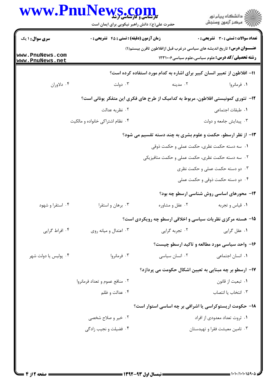|                                    | WWW.PnuNews.com<br>حضرت علی(ع): دانش راهبر نیکویی برای ایمان است                  |                 | ڪ دانشڪاه پيا <sub>م</sub> نور<br>۾ سرڪز آزمون وسنڊش                                                                                      |
|------------------------------------|-----------------------------------------------------------------------------------|-----------------|-------------------------------------------------------------------------------------------------------------------------------------------|
| <b>سری سوال : ۱ یک</b>             | <b>زمان آزمون (دقیقه) : تستی : 45 قشریحی : 0</b>                                  |                 | تعداد سوالات : تستى : 30 ٪ تشريحي : 0                                                                                                     |
| www.PnuNews.com<br>www.PnuNews.net |                                                                                   |                 | <b>عنـــوان درس:</b> تاریخ اندیشه های سیاسی درغرب قبل ازافلاطون تاقرن بیستم(۱)<br><b>رشته تحصیلی/کد درس:</b> علوم سیاسی،علوم سیاسی1۲۳۱۰۰۶ |
|                                    |                                                                                   |                 | 11– افلاطون از تعبیر انسان کبیر برای اشاره به کدام مورد استفاده کرده است؟                                                                 |
| ۰۴ دلاوران                         | ۰۳ دولت                                                                           | ۰۲ مدینه        | ۰۱ فرمانروا                                                                                                                               |
|                                    | ۱۲– تئوری کمونیستی افلاطون، مربوط به کدامیک از طرح های فکری این متفکر یونانی است؟ |                 |                                                                                                                                           |
|                                    | ۰۲ نظریه عدالت                                                                    |                 | ٠١. طبقات اجتماعي                                                                                                                         |
|                                    | ۰۴ نظام اشتراكي خانواده و مالكيت                                                  |                 | ۰۳ پیدایش جامعه و دولت                                                                                                                    |
|                                    |                                                                                   |                 | ۱۳- از نظر ارسطو، حکمت و علوم بشری به چند دسته تقسیم می شود؟                                                                              |
|                                    | ۰۱ سه دسته حکمت نظری، حکمت عملی و حکمت ذوقی                                       |                 |                                                                                                                                           |
|                                    | ۰۲ سه دسته حکمت نظری، حکمت عملی و حکمت متافیزیکی                                  |                 |                                                                                                                                           |
|                                    |                                                                                   |                 | ۰۳ دو دسته حکمت عملی و حکمت نظری                                                                                                          |
|                                    | ۰۴ دو دسته حکمت ذوقی و حکمت عملی                                                  |                 |                                                                                                                                           |
|                                    |                                                                                   |                 | ۱۴- محورهای اساسی روش شناسی ارسطو چه بود؟                                                                                                 |
| ۰۴ استقرا و شهود                   | ۰۳ برهان و استقرا                                                                 | ۰۲ عقل و مشاوره | ٠١ قياس وتجربه                                                                                                                            |
|                                    |                                                                                   |                 | ۱۵- هسته مرکزی نظریات سیاسی و اخلاقی ارسطو چه رویکردی است؟                                                                                |
| ۰۴ افراط گرایی                     | ۰۳ اعتدال و میانه روی                                                             | ۰۲ تجربه گرایی  | ۰۱ عقل گرايي                                                                                                                              |
|                                    |                                                                                   |                 | ۱۶- واحد سیاسی مورد مطالعه و تاکید ارسطو چیست؟                                                                                            |
| ۰۴ پولیس یا دولت شهر               | ۰۳ فرمانروا                                                                       | ٠٢ انسان سياسى  | ۰۱ انسان اجتما <i>ع</i> ی                                                                                                                 |
|                                    |                                                                                   |                 | ۱۷– ارسطو بر چه مبنایی به تعیین اشکال حکومت می پردازد؟                                                                                    |
|                                    | ۰۲ منافع عموم و تعداد فرمانروا                                                    |                 | ٠١ تبعيت از قانون                                                                                                                         |
|                                    | ۰۴ عدالت و ظلم                                                                    |                 | ٠٣ انتخاب يا انتصاب                                                                                                                       |
|                                    |                                                                                   |                 | ۱۸- حکومت اریستوکراسی یا اشرافی بر چه اساسی استوار است؟                                                                                   |
|                                    | ۰۲ خیر و صلاح شخصی                                                                |                 | ۰۱ ثروت تعداد معدودي از افراد                                                                                                             |
|                                    | ۰۴ فضیلت و نجیب زادگی                                                             |                 | ۰۳ تامین معیشت فقرا و تهیدستان                                                                                                            |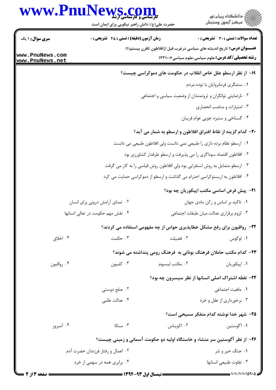## WWW.PnuNews.com

| www.Pnul                                                          | <b>VS .COM</b><br>حضرت علی(ع): دانش راهبر نیکویی برای ایمان است |                                                                                 | ڪ دانشڪاه پيا <sub>م</sub> نور<br>۾ سرڪز آزمون وسنڊش    |  |  |
|-------------------------------------------------------------------|-----------------------------------------------------------------|---------------------------------------------------------------------------------|---------------------------------------------------------|--|--|
| <b>سری سوال : ۱ یک</b>                                            | <b>زمان آزمون (دقیقه) : تستی : 45 قشریحی : 0</b>                |                                                                                 | تعداد سوالات : تستى : 30 - تشريحي : 0                   |  |  |
|                                                                   |                                                                 | <b>عنــــوان درس:</b> تاریخ اندیشه های سیاسی درغرب قبل ازافلاطون تاقرن بیستم(۱) |                                                         |  |  |
| ww.PnuNews.com<br>ww.PnuNews.net                                  |                                                                 |                                                                                 | <b>رشته تحصیلی/کد درس:</b> علوم سیاسی،علوم سیاسی1۲۳۱۰۰۶ |  |  |
|                                                                   |                                                                 | ۱۹- از نظر ارسطو علل خاص انقلاب در حکومت های دموکراسی چیست؟                     |                                                         |  |  |
|                                                                   |                                                                 | ۰۱ ستمگری فرمانروایان با توده مردم                                              |                                                         |  |  |
|                                                                   |                                                                 | ۰۲ نارضایتی توانگران و ثروتمندان از وضعیت سیاسی و اجتماعی                       |                                                         |  |  |
|                                                                   |                                                                 | ۰۳ امتیازات و مناصب انحصاری                                                     |                                                         |  |  |
|                                                                   |                                                                 |                                                                                 | ۰۴ گستاخی و ستیزه جویی عوام فریبان                      |  |  |
|                                                                   |                                                                 | ۲۰- کدام گزینه از نقاط افتراق افلاطون و ارسطو به شمار می آید؟                   |                                                         |  |  |
|                                                                   |                                                                 | ۰۱ ارسطو نظام برده داری را طبیعی نمی دانست ولی افلاطون طبیعی می دانست           |                                                         |  |  |
| ۰۲ افلاطون اقتصاد سوداگری را می پذیرفت و ارسطو طرفدار کشاورزی بود |                                                                 |                                                                                 |                                                         |  |  |
|                                                                   |                                                                 | ۰۳ ارسطو متمایل به روش استقرایی بود ولی افلاطون روش قیاسی را به کار می گرفت     |                                                         |  |  |
|                                                                   |                                                                 | ۰۴ افلاطون به اریستوکراسی احترام می گذاشت و ارسطو از دموکراسی حمایت می کرد      |                                                         |  |  |
|                                                                   |                                                                 |                                                                                 | <b>۲۱</b> - پیش فرض اساسی مکتب اپیکوریان چه بود؟        |  |  |
|                                                                   | ۲. تمنای آرامش درونی برای انسان                                 |                                                                                 | ٠١ تاكيد بر اساس و ركن مادى جهان                        |  |  |
|                                                                   | ۰۴ نقش مهم حکومت در تعالی انسانها                               |                                                                                 | ۰۳ لزوم برقراري عدالت ميان طبقات اجتماعي                |  |  |
|                                                                   |                                                                 | <b>۲۲</b> - رواقیون برای رفع مشکل خطاپذیری حواس از چه مفهومی استفاده می کردند؟  |                                                         |  |  |
| ۰۴ اخلاق                                                          | ۰۳ حکمت                                                         | ٠٢ فضيلت                                                                        | ۰۱ لوگوس                                                |  |  |
|                                                                   |                                                                 | ۲۳- کدام مکتب حاملان فرهنگ یونانی به  فرهنگ رومی پنداشته می شوند؟               |                                                         |  |  |
| ۰۴ رواقيون                                                        | ۰۳ کلبیون                                                       | ۰۲ مكتب ليسيوم                                                                  | ۰۱ اپیکوریان                                            |  |  |
|                                                                   |                                                                 |                                                                                 | ۲۴- نقطه اشتراک اصلی انسانها از نظر سیسرون چه بود؟      |  |  |
|                                                                   | ۰۲ صلح دوستی                                                    |                                                                                 | ۰۱ ماهیت اجتما <i>عی</i>                                |  |  |
|                                                                   | ۰۴ عدالت طلبي                                                   |                                                                                 | ۰۳ برخورداری از عقل و خرد                               |  |  |
|                                                                   |                                                                 |                                                                                 | <b>۲۵</b> – شهر خدا نوشته کدام متفکر مسیحی است؟         |  |  |
| ۰۴ آمبروز                                                         | ۰۳ سنکا                                                         | ۰۲ اکویناس                                                                      | ١. أگوستين                                              |  |  |
|                                                                   |                                                                 | ۲۶– از نظر آگوستین سر منشاء و خاستگاه اولیه دو حکومت آسمانی و زمینی چیست؟       |                                                         |  |  |
|                                                                   | ۰۲ اعمال و رفتار فرزندان حضرت آدم                               |                                                                                 | ۰۱ جنگ خیر و شر                                         |  |  |
| ۰۴ برابری همه در سهمی از خرد                                      |                                                                 |                                                                                 | ٠٣ تفاوت طبيعي انسانها                                  |  |  |
|                                                                   |                                                                 |                                                                                 |                                                         |  |  |

Ŀ